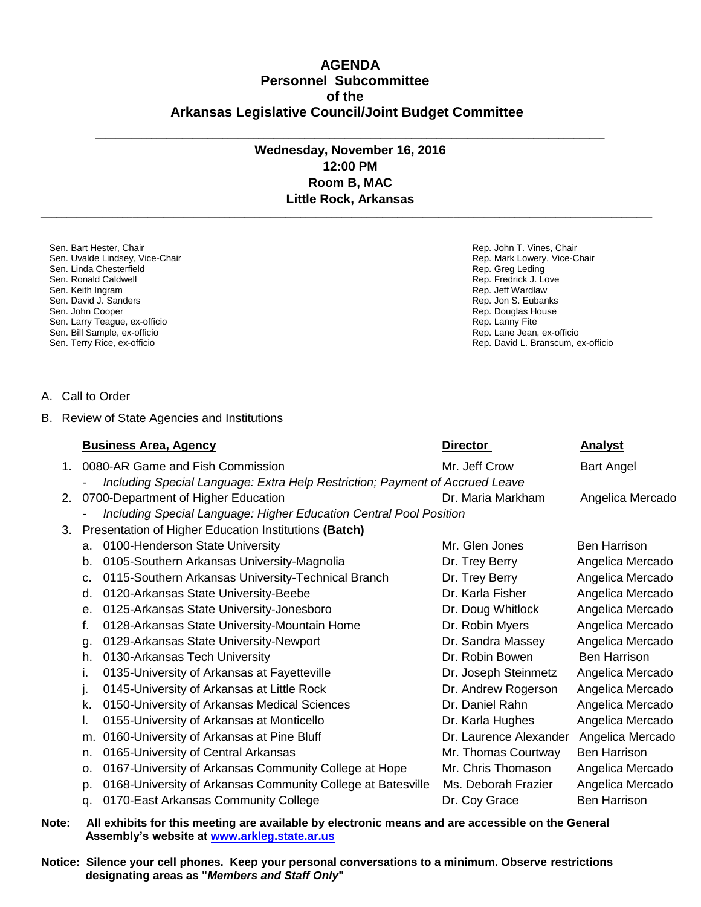## **AGENDA Personnel Subcommittee of the Arkansas Legislative Council/Joint Budget Committee**

## **Wednesday, November 16, 2016 12:00 PM Room B, MAC Little Rock, Arkansas**

**\_\_\_\_\_\_\_\_\_\_\_\_\_\_\_\_\_\_\_\_\_\_\_\_\_\_\_\_\_\_\_\_\_\_\_\_\_\_\_\_\_\_\_\_\_\_\_\_\_\_\_\_\_\_\_\_\_\_\_\_\_\_\_\_\_\_\_\_\_\_\_\_\_\_\_\_\_\_\_\_\_\_\_\_\_\_\_\_\_\_\_\_\_\_\_\_\_\_\_\_\_\_\_\_\_\_\_\_\_\_\_\_\_\_\_\_\_\_\_\_**

**\_\_\_\_\_\_\_\_\_\_\_\_\_\_\_\_\_\_\_\_\_\_\_\_\_\_\_\_\_\_\_\_\_\_\_\_\_\_\_\_\_\_\_\_\_\_\_\_\_\_\_\_\_\_\_\_\_\_\_\_\_\_\_\_\_\_\_\_\_\_\_\_\_\_\_\_\_\_\_\_\_\_\_\_\_\_\_\_\_\_\_\_\_\_\_\_\_\_\_\_\_\_\_\_\_\_\_\_\_\_\_\_\_\_\_\_\_\_\_\_**

Rep. John T. Vines, Chair Rep. Mark Lowery, Vice-Chair

Rep. Lane Jean, ex-officio Rep. David L. Branscum, ex-officio

Rep. Greg Leding Rep. Fredrick J. Love Rep. Jeff Wardlaw Rep. Jon S. Eubanks Rep. Douglas House Rep. Lanny Fite

**\_\_\_\_\_\_\_\_\_\_\_\_\_\_\_\_\_\_\_\_\_\_\_\_\_\_\_\_\_\_\_\_\_\_\_\_\_\_\_\_\_\_\_\_\_\_\_\_\_\_\_\_\_\_\_\_\_\_\_\_\_\_\_\_\_\_\_\_\_\_\_\_\_\_\_\_\_\_\_\_\_\_\_\_\_\_\_\_\_\_\_\_\_\_\_\_\_\_\_\_**

Sen. Bart Hester, Chair Sen. Uvalde Lindsey, Vice-Chair Sen. Linda Chesterfield Sen. Ronald Caldwell Sen. Keith Ingram Sen. David J. Sanders Sen. John Cooper Sen. Larry Teague, ex-officio Sen. Bill Sample, ex-officio Sen. Terry Rice, ex-officio

A. Call to Order

B. Review of State Agencies and Institutions

|    |                                                                    | <b>Business Area, Agency</b>                                                 | <b>Director</b>        | <b>Analyst</b>      |  |  |
|----|--------------------------------------------------------------------|------------------------------------------------------------------------------|------------------------|---------------------|--|--|
| 1. |                                                                    | 0080-AR Game and Fish Commission                                             | Mr. Jeff Crow          | <b>Bart Angel</b>   |  |  |
|    |                                                                    | Including Special Language: Extra Help Restriction; Payment of Accrued Leave |                        |                     |  |  |
| 2. |                                                                    | 0700-Department of Higher Education                                          | Dr. Maria Markham      | Angelica Mercado    |  |  |
|    | Including Special Language: Higher Education Central Pool Position |                                                                              |                        |                     |  |  |
| 3. | Presentation of Higher Education Institutions (Batch)              |                                                                              |                        |                     |  |  |
|    | a.                                                                 | 0100-Henderson State University                                              | Mr. Glen Jones         | <b>Ben Harrison</b> |  |  |
|    | b.                                                                 | 0105-Southern Arkansas University-Magnolia                                   | Dr. Trey Berry         | Angelica Mercado    |  |  |
|    | C.                                                                 | 0115-Southern Arkansas University-Technical Branch                           | Dr. Trey Berry         | Angelica Mercado    |  |  |
|    | d.                                                                 | 0120-Arkansas State University-Beebe                                         | Dr. Karla Fisher       | Angelica Mercado    |  |  |
|    | е.                                                                 | 0125-Arkansas State University-Jonesboro                                     | Dr. Doug Whitlock      | Angelica Mercado    |  |  |
|    | f.                                                                 | 0128-Arkansas State University-Mountain Home                                 | Dr. Robin Myers        | Angelica Mercado    |  |  |
|    | g.                                                                 | 0129-Arkansas State University-Newport                                       | Dr. Sandra Massey      | Angelica Mercado    |  |  |
|    | h.                                                                 | 0130-Arkansas Tech University                                                | Dr. Robin Bowen        | <b>Ben Harrison</b> |  |  |
|    |                                                                    | 0135-University of Arkansas at Fayetteville                                  | Dr. Joseph Steinmetz   | Angelica Mercado    |  |  |
|    | J.                                                                 | 0145-University of Arkansas at Little Rock                                   | Dr. Andrew Rogerson    | Angelica Mercado    |  |  |
|    | k.                                                                 | 0150-University of Arkansas Medical Sciences                                 | Dr. Daniel Rahn        | Angelica Mercado    |  |  |
|    |                                                                    | 0155-University of Arkansas at Monticello                                    | Dr. Karla Hughes       | Angelica Mercado    |  |  |
|    | m.                                                                 | 0160-University of Arkansas at Pine Bluff                                    | Dr. Laurence Alexander | Angelica Mercado    |  |  |
|    | n.                                                                 | 0165-University of Central Arkansas                                          | Mr. Thomas Courtway    | <b>Ben Harrison</b> |  |  |
|    | 0.                                                                 | 0167-University of Arkansas Community College at Hope                        | Mr. Chris Thomason     | Angelica Mercado    |  |  |
|    | p.                                                                 | 0168-University of Arkansas Community College at Batesville                  | Ms. Deborah Frazier    | Angelica Mercado    |  |  |
|    | q.                                                                 | 0170-East Arkansas Community College                                         | Dr. Coy Grace          | <b>Ben Harrison</b> |  |  |

**Note: All exhibits for this meeting are available by electronic means and are accessible on the General Assembly's website at www.arkleg.state.ar.us**

**Notice: Silence your cell phones. Keep your personal conversations to a minimum. Observe restrictions designating areas as "***Members and Staff Only***"**